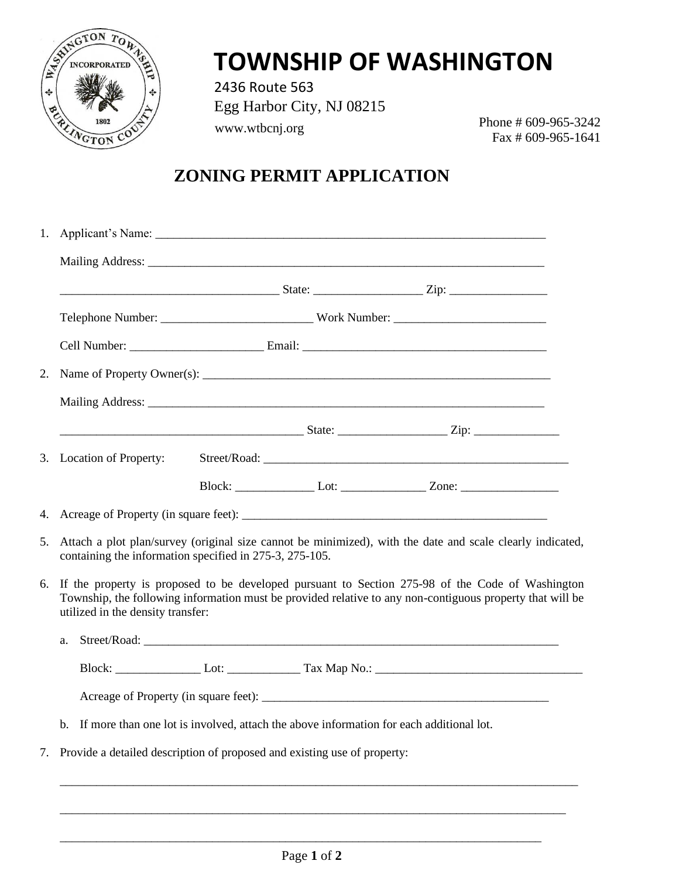

## **TOWNSHIP OF WASHINGTON**

2436 Route 563 Egg Harbor City, NJ 08215 www.wtbcnj.org

Phone # 609-965-3242 Fax # 609-965-1641

#### **ZONING PERMIT APPLICATION**

| 1. |                                                                                                                                                                                                                                                    |                                                                                                                                                                      |  |  |                                                                                  |  |
|----|----------------------------------------------------------------------------------------------------------------------------------------------------------------------------------------------------------------------------------------------------|----------------------------------------------------------------------------------------------------------------------------------------------------------------------|--|--|----------------------------------------------------------------------------------|--|
|    |                                                                                                                                                                                                                                                    |                                                                                                                                                                      |  |  |                                                                                  |  |
|    |                                                                                                                                                                                                                                                    |                                                                                                                                                                      |  |  |                                                                                  |  |
|    |                                                                                                                                                                                                                                                    |                                                                                                                                                                      |  |  |                                                                                  |  |
|    |                                                                                                                                                                                                                                                    |                                                                                                                                                                      |  |  |                                                                                  |  |
| 2. |                                                                                                                                                                                                                                                    |                                                                                                                                                                      |  |  |                                                                                  |  |
|    |                                                                                                                                                                                                                                                    |                                                                                                                                                                      |  |  |                                                                                  |  |
|    |                                                                                                                                                                                                                                                    |                                                                                                                                                                      |  |  |                                                                                  |  |
|    |                                                                                                                                                                                                                                                    | 3. Location of Property:                                                                                                                                             |  |  |                                                                                  |  |
|    |                                                                                                                                                                                                                                                    |                                                                                                                                                                      |  |  | Block: _____________________Lot: _______________________Zone: __________________ |  |
| 4. |                                                                                                                                                                                                                                                    |                                                                                                                                                                      |  |  |                                                                                  |  |
| 5. |                                                                                                                                                                                                                                                    | Attach a plot plan/survey (original size cannot be minimized), with the date and scale clearly indicated,<br>containing the information specified in 275-3, 275-105. |  |  |                                                                                  |  |
| 6. | If the property is proposed to be developed pursuant to Section 275-98 of the Code of Washington<br>Township, the following information must be provided relative to any non-contiguous property that will be<br>utilized in the density transfer: |                                                                                                                                                                      |  |  |                                                                                  |  |
|    | a.                                                                                                                                                                                                                                                 |                                                                                                                                                                      |  |  | Street/Road: New York Street/Road:                                               |  |
|    |                                                                                                                                                                                                                                                    |                                                                                                                                                                      |  |  |                                                                                  |  |
|    |                                                                                                                                                                                                                                                    |                                                                                                                                                                      |  |  |                                                                                  |  |
|    | $h_{-}$                                                                                                                                                                                                                                            | If more than one lot is involved, attach the above information for each additional lot.                                                                              |  |  |                                                                                  |  |
| 7. |                                                                                                                                                                                                                                                    | Provide a detailed description of proposed and existing use of property:                                                                                             |  |  |                                                                                  |  |

\_\_\_\_\_\_\_\_\_\_\_\_\_\_\_\_\_\_\_\_\_\_\_\_\_\_\_\_\_\_\_\_\_\_\_\_\_\_\_\_\_\_\_\_\_\_\_\_\_\_\_\_\_\_\_\_\_\_\_\_\_\_\_\_\_\_\_\_\_\_\_\_\_\_\_\_\_\_\_

\_\_\_\_\_\_\_\_\_\_\_\_\_\_\_\_\_\_\_\_\_\_\_\_\_\_\_\_\_\_\_\_\_\_\_\_\_\_\_\_\_\_\_\_\_\_\_\_\_\_\_\_\_\_\_\_\_\_\_\_\_\_\_\_\_\_\_\_\_\_\_\_\_\_\_\_\_\_\_\_\_\_\_

\_\_\_\_\_\_\_\_\_\_\_\_\_\_\_\_\_\_\_\_\_\_\_\_\_\_\_\_\_\_\_\_\_\_\_\_\_\_\_\_\_\_\_\_\_\_\_\_\_\_\_\_\_\_\_\_\_\_\_\_\_\_\_\_\_\_\_\_\_\_\_\_\_\_\_\_\_\_\_\_\_\_\_\_\_